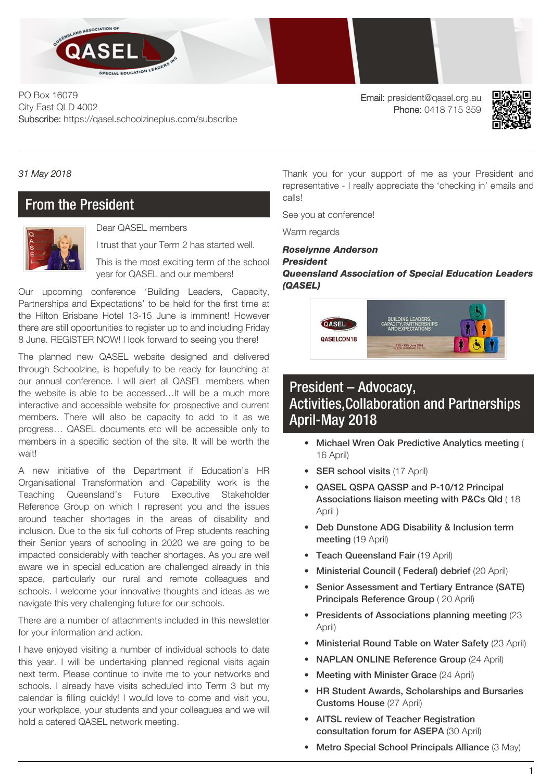

PO Box 16079 City East QLD 4002 Subscribe: https://qasel.schoolzineplus.com/subscribe

Email: president@qasel.org.au Phone: 0418 715 359



*31 May 2018*

### From the President



Dear QASEL members

I trust that your Term 2 has started well.

This is the most exciting term of the school year for QASEL and our members!

Our upcoming conference 'Building Leaders, Capacity, Partnerships and Expectations' to be held for the first time at the Hilton Brisbane Hotel 13-15 June is imminent! However there are still opportunities to register up to and including Friday 8 June. REGISTER NOW! I look forward to seeing you there!

The planned new QASEL website designed and delivered through Schoolzine, is hopefully to be ready for launching at our annual conference. I will alert all QASEL members when the website is able to be accessed…It will be a much more interactive and accessible website for prospective and current members. There will also be capacity to add to it as we progress… QASEL documents etc will be accessible only to members in a specific section of the site. It will be worth the wait!

A new initiative of the Department if Education's HR Organisational Transformation and Capability work is the Teaching Queensland's Future Executive Stakeholder Reference Group on which I represent you and the issues around teacher shortages in the areas of disability and inclusion. Due to the six full cohorts of Prep students reaching their Senior years of schooling in 2020 we are going to be impacted considerably with teacher shortages. As you are well aware we in special education are challenged already in this space, particularly our rural and remote colleagues and schools. I welcome your innovative thoughts and ideas as we navigate this very challenging future for our schools.

There are a number of attachments included in this newsletter for your information and action.

I have enjoyed visiting a number of individual schools to date this year. I will be undertaking planned regional visits again next term. Please continue to invite me to your networks and schools. I already have visits scheduled into Term 3 but my calendar is filling quickly! I would love to come and visit you, your workplace, your students and your colleagues and we will hold a catered QASEL network meeting.

Thank you for your support of me as your President and representative - I really appreciate the 'checking in' emails and calls!

See you at conference!

Warm regards

#### *Roselynne Anderson President Queensland Association of Special Education Leaders (QASEL)*



## President – Advocacy, Activities,Collaboration and Partnerships April-May 2018

- Michael Wren Oak Predictive Analytics meeting ( 16 April)
- SER school visits (17 April)
- QASEL QSPA QASSP and P-10/12 Principal Associations liaison meeting with P&Cs Qld ( 18 April )
- Deb Dunstone ADG Disability & Inclusion term meeting (19 April)
- Teach Queensland Fair (19 April)
- Ministerial Council ( Federal) debrief (20 April)
- Senior Assessment and Tertiary Entrance (SATE) Principals Reference Group ( 20 April)
- Presidents of Associations planning meeting (23 April)
- Ministerial Round Table on Water Safety (23 April)
- NAPLAN ONLINE Reference Group (24 April)
- Meeting with Minister Grace (24 April)
- HR Student Awards, Scholarships and Bursaries Customs House (27 April)
- AITSL review of Teacher Registration consultation forum for ASEPA (30 April)
- Metro Special School Principals Alliance (3 May)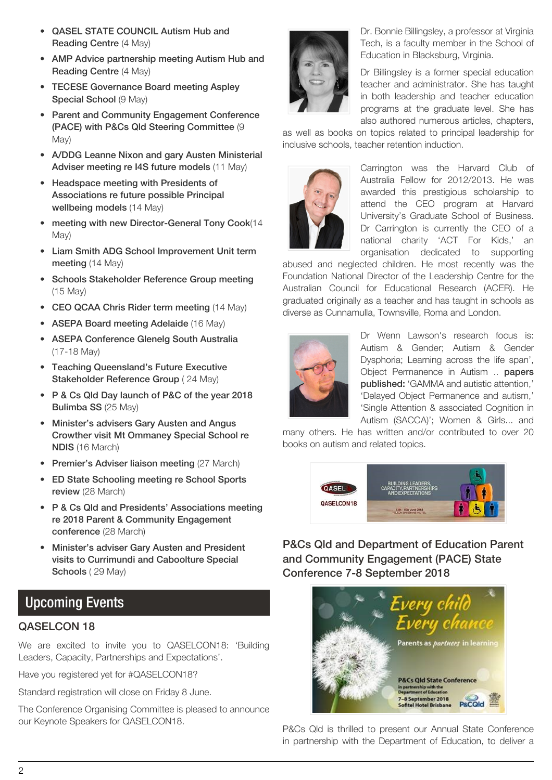- QASEL STATE COUNCIL Autism Hub and Reading Centre (4 May)
- AMP Advice partnership meeting Autism Hub and Reading Centre (4 May)
- TECESE Governance Board meeting Aspley Special School (9 May)
- Parent and Community Engagement Conference (PACE) with P&Cs Qld Steering Committee (9 May)
- A/DDG Leanne Nixon and gary Austen Ministerial Adviser meeting re I4S future models (11 May)
- Headspace meeting with Presidents of Associations re future possible Principal wellbeing models (14 May)
- meeting with new Director-General Tony Cook(14 May)
- Liam Smith ADG School Improvement Unit term meeting (14 May)
- Schools Stakeholder Reference Group meeting (15 May)
- CEO QCAA Chris Rider term meeting (14 May)
- ASEPA Board meeting Adelaide (16 May)
- ASEPA Conference Glenelg South Australia (17-18 May)
- Teaching Queensland's Future Executive Stakeholder Reference Group ( 24 May)
- P & Cs Qld Day launch of P&C of the year 2018 Bulimba SS (25 May)
- Minister's advisers Gary Austen and Angus Crowther visit Mt Ommaney Special School re NDIS (16 March)
- Premier's Adviser liaison meeting (27 March)
- ED State Schooling meeting re School Sports review (28 March)
- P & Cs Qld and Presidents' Associations meeting re 2018 Parent & Community Engagement conference (28 March)
- Minister's adviser Gary Austen and President visits to Currimundi and Caboolture Special Schools (29 May)

# Upcoming Events

### QASELCON 18

We are excited to invite you to QASELCON18: 'Building Leaders, Capacity, Partnerships and Expectations'.

Have you registered yet for [#QASELCON18?](https://twitter.com/hashtag/QASELCON18?src=hash)

Standard registration will close on Friday 8 June.

The Conference Organising Committee is pleased to announce our Keynote Speakers for QASELCON18.



Dr. Bonnie Billingsley, a professor at Virginia Tech, is a faculty member in the School of Education in Blacksburg, Virginia.

Dr Billingsley is a former special education teacher and administrator. She has taught in both leadership and teacher education programs at the graduate level. She has also authored numerous articles, chapters,

as well as books on topics related to principal leadership for inclusive schools, teacher retention induction.



Carrington was the Harvard Club of Australia Fellow for 2012/2013. He was awarded this prestigious scholarship to attend the CEO program at Harvard University's Graduate School of Business. Dr Carrington is currently the CEO of a national charity 'ACT For Kids,' an organisation dedicated to supporting

abused and neglected children. He most recently was the Foundation National Director of the Leadership Centre for the Australian Council for Educational Research (ACER). He graduated originally as a teacher and has taught in schools as diverse as Cunnamulla, Townsville, Roma and London.



Dr Wenn Lawson's research focus is: Autism & Gender; Autism & Gender Dysphoria; Learning across the life span', Object Permanence in Autism .. papers published: 'GAMMA and autistic attention,' 'Delayed Object Permanence and autism,' 'Single Attention & associated Cognition in Autism (SACCA)'; Women & Girls... and

many others. He has written and/or contributed to over 20 books on autism and related topics.



P&Cs Qld and Department of Education Parent and Community Engagement (PACE) State Conference 7-8 September 2018



P&Cs Qld is thrilled to present our Annual State [Conference](http://pandcsqld.com.au/whats-on/state-conference/) in partnership with the Department of Education, to deliver a